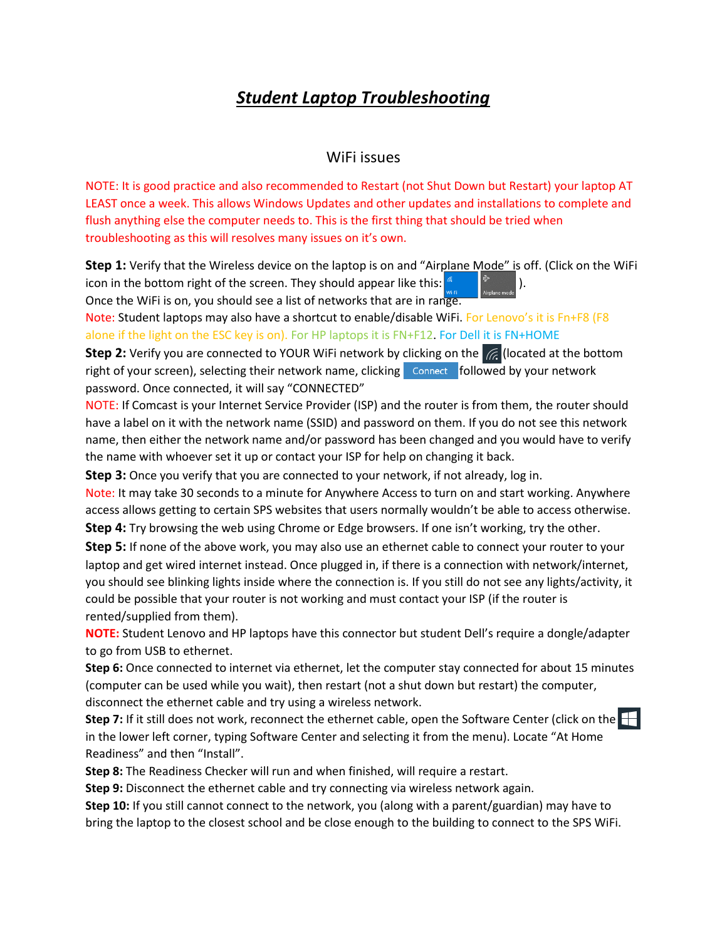## *Student Laptop Troubleshooting*

## WiFi issues

NOTE: It is good practice and also recommended to Restart (not Shut Down but Restart) your laptop AT LEAST once a week. This allows Windows Updates and other updates and installations to complete and flush anything else the computer needs to. This is the first thing that should be tried when troubleshooting as this will resolves many issues on it's own.

**Step 1:** Verify that the Wireless device on the laptop is on and "Airplane Mode" is off. (Click on the WiFi icon in the bottom right of the screen. They should appear like this:  $\left\| \cdot \right\|$ Once the WiFi is on, you should see a list of networks that are in range.

Note: Student laptops may also have a shortcut to enable/disable WiFi. For Lenovo's it is Fn+F8 (F8 alone if the light on the ESC key is on). For HP laptops it is FN+F12. For Dell it is FN+HOME

**Step 2:** Verify you are connected to YOUR WiFi network by clicking on the  $\sqrt{6}$  (located at the bottom right of your screen), selecting their network name, clicking  $\overline{\phantom{a}}$  Connect  $\overline{\phantom{a}}$  followed by your network password. Once connected, it will say "CONNECTED"

NOTE: If Comcast is your Internet Service Provider (ISP) and the router is from them, the router should have a label on it with the network name (SSID) and password on them. If you do not see this network name, then either the network name and/or password has been changed and you would have to verify the name with whoever set it up or contact your ISP for help on changing it back.

**Step 3:** Once you verify that you are connected to your network, if not already, log in.

Note: It may take 30 seconds to a minute for Anywhere Access to turn on and start working. Anywhere access allows getting to certain SPS websites that users normally wouldn't be able to access otherwise. **Step 4:** Try browsing the web using Chrome or Edge browsers. If one isn't working, try the other.

**Step 5:** If none of the above work, you may also use an ethernet cable to connect your router to your laptop and get wired internet instead. Once plugged in, if there is a connection with network/internet, you should see blinking lights inside where the connection is. If you still do not see any lights/activity, it could be possible that your router is not working and must contact your ISP (if the router is rented/supplied from them).

**NOTE:** Student Lenovo and HP laptops have this connector but student Dell's require a dongle/adapter to go from USB to ethernet.

**Step 6:** Once connected to internet via ethernet, let the computer stay connected for about 15 minutes (computer can be used while you wait), then restart (not a shut down but restart) the computer, disconnect the ethernet cable and try using a wireless network.

**Step 7:** If it still does not work, reconnect the ethernet cable, open the Software Center (click on the  $\Box$ in the lower left corner, typing Software Center and selecting it from the menu). Locate "At Home Readiness" and then "Install".

**Step 8:** The Readiness Checker will run and when finished, will require a restart.

**Step 9:** Disconnect the ethernet cable and try connecting via wireless network again.

**Step 10:** If you still cannot connect to the network, you (along with a parent/guardian) may have to bring the laptop to the closest school and be close enough to the building to connect to the SPS WiFi.